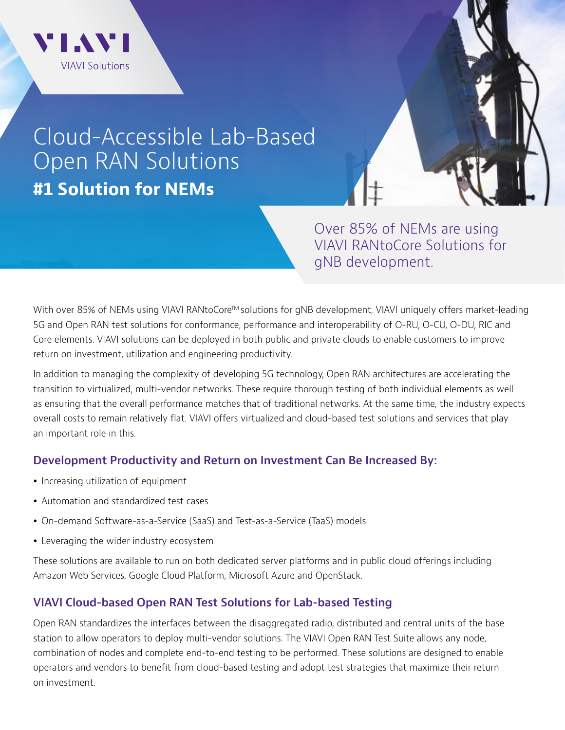

# Cloud-Accessible Lab-Based Open RAN Solutions **#1 Solution for NEMs**

Over 85% of NEMs are using VIAVI RANtoCore Solutions for gNB development.

With over 85% of NEMs using VIAVI RANtoCore™ solutions for gNB development, VIAVI uniquely offers market-leading 5G and Open RAN test solutions for conformance, performance and interoperability of O-RU, O-CU, O-DU, RIC and Core elements. VIAVI solutions can be deployed in both public and private clouds to enable customers to improve return on investment, utilization and engineering productivity.

In addition to managing the complexity of developing 5G technology, Open RAN architectures are accelerating the transition to virtualized, multi-vendor networks. These require thorough testing of both individual elements as well as ensuring that the overall performance matches that of traditional networks. At the same time, the industry expects overall costs to remain relatively flat. VIAVI offers virtualized and cloud-based test solutions and services that play an important role in this.

## **Development Productivity and Return on Investment Can Be Increased By:**

- Increasing utilization of equipment
- Automation and standardized test cases
- On-demand Software-as-a-Service (SaaS) and Test-as-a-Service (TaaS) models
- Leveraging the wider industry ecosystem

These solutions are available to run on both dedicated server platforms and in public cloud offerings including Amazon Web Services, Google Cloud Platform, Microsoft Azure and OpenStack.

## **VIAVI Cloud-based Open RAN Test Solutions for Lab-based Testing**

Open RAN standardizes the interfaces between the disaggregated radio, distributed and central units of the base station to allow operators to deploy multi-vendor solutions. The VIAVI Open RAN Test Suite allows any node, combination of nodes and complete end-to-end testing to be performed. These solutions are designed to enable operators and vendors to benefit from cloud-based testing and adopt test strategies that maximize their return on investment.